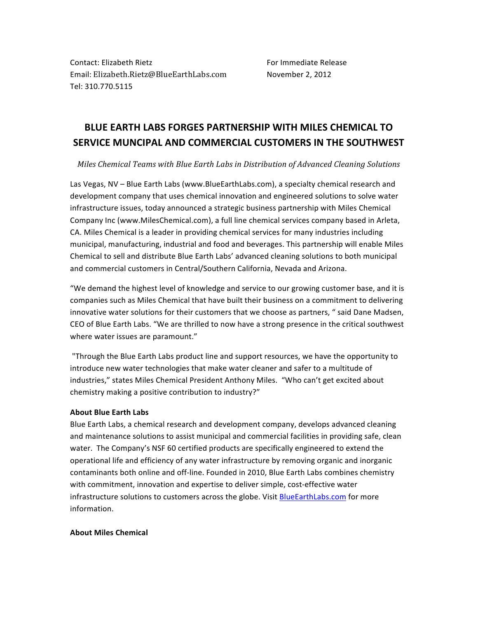Contact: Elizabeth Rietz Formation For For Immediate Release Email: Elizabeth.Rietz@BlueEarthLabs.com November 2, 2012 Tel: 310.770.5115

## **BLUE%EARTH%LABS FORGES%PARTNERSHIP%WITH%MILES%CHEMICAL%TO% SERVICE%MUNCIPAL%AND%COMMERCIAL%CUSTOMERS%IN%THE%SOUTHWEST**

*Miles&Chemical&Teams&with&Blue&Earth&Labs in&Distribution&of&Advanced&Cleaning&Solutions*

Las Vegas, NV – Blue Earth Labs (www.BlueEarthLabs.com), a specialty chemical research and development company that uses chemical innovation and engineered solutions to solve water infrastructure issues, today announced a strategic business partnership with Miles Chemical Company Inc (www.MilesChemical.com), a full line chemical services company based in Arleta, CA. Miles Chemical is a leader in providing chemical services for many industries including municipal, manufacturing, industrial and food and beverages. This partnership will enable Miles Chemical to sell and distribute Blue Earth Labs' advanced cleaning solutions to both municipal and commercial customers in Central/Southern California, Nevada and Arizona.

"We demand the highest level of knowledge and service to our growing customer base, and it is companies such as Miles Chemical that have built their business on a commitment to delivering innovative water solutions for their customers that we choose as partners, " said Dane Madsen, CEO of Blue Earth Labs. "We are thrilled to now have a strong presence in the critical southwest where water issues are paramount."

"Through the Blue Earth Labs product line and support resources, we have the opportunity to introduce new water technologies that make water cleaner and safer to a multitude of industries," states Miles Chemical President Anthony Miles. "Who can't get excited about chemistry making a positive contribution to industry?"

## **About Blue Earth Labs**

Blue Earth Labs, a chemical research and development company, develops advanced cleaning and maintenance solutions to assist municipal and commercial facilities in providing safe, clean water. The Company's NSF 60 certified products are specifically engineered to extend the operational life and efficiency of any water infrastructure by removing organic and inorganic contaminants both online and off-line. Founded in 2010, Blue Earth Labs combines chemistry with commitment, innovation and expertise to deliver simple, cost-effective water infrastructure solutions to customers across the globe. Visit BlueEarthLabs.com for more information.

## **About Miles Chemical**